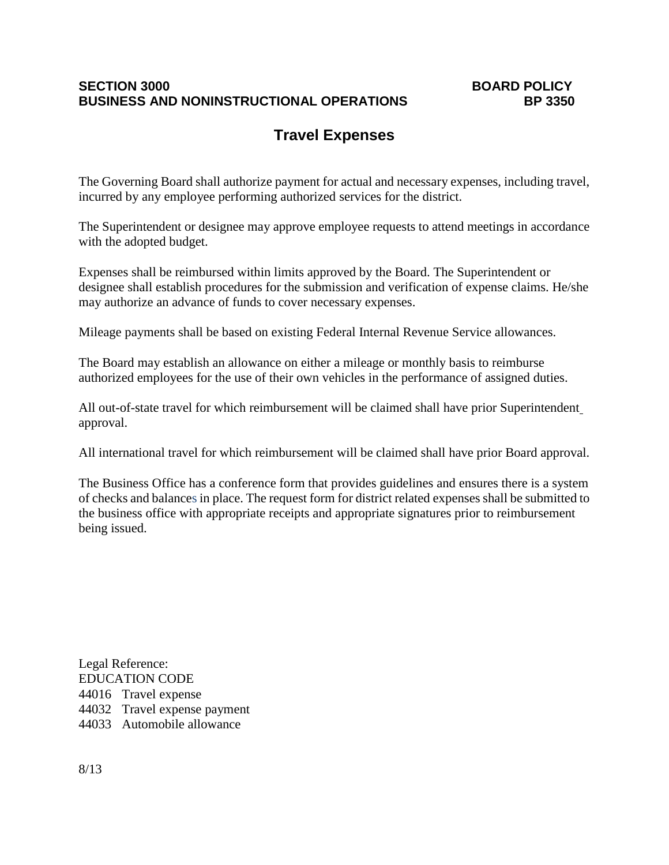### **SECTION 3000**<br>BOARD POLICY<br>BUSINESS AND NONINSTRUCTIONAL OPERATIONS BD 3350 **BUSINESS AND NONINSTRUCTIONAL OPERATIONS**

### **Travel Expenses**

The Governing Board shall authorize payment for actual and necessary expenses, including travel, incurred by any employee performing authorized services for the district.

The Superintendent or designee may approve employee requests to attend meetings in accordance with the adopted budget.

Expenses shall be reimbursed within limits approved by the Board. The Superintendent or designee shall establish procedures for the submission and verification of expense claims. He/she may authorize an advance of funds to cover necessary expenses.

Mileage payments shall be based on existing Federal Internal Revenue Service allowances.

The Board may establish an allowance on either a mileage or monthly basis to reimburse authorized employees for the use of their own vehicles in the performance of assigned duties.

All out-of-state travel for which reimbursement will be claimed shall have prior Superintendent approval.

All international travel for which reimbursement will be claimed shall have prior Board approval.

The Business Office has a conference form that provides guidelines and ensures there is a system of checks and balances in place. The request form for district related expenses shall be submitted to the business office with appropriate receipts and appropriate signatures prior to reimbursement being issued.

Legal Reference: EDUCATION CODE 44016 Travel expense 44032 Travel expense payment 44033 Automobile allowance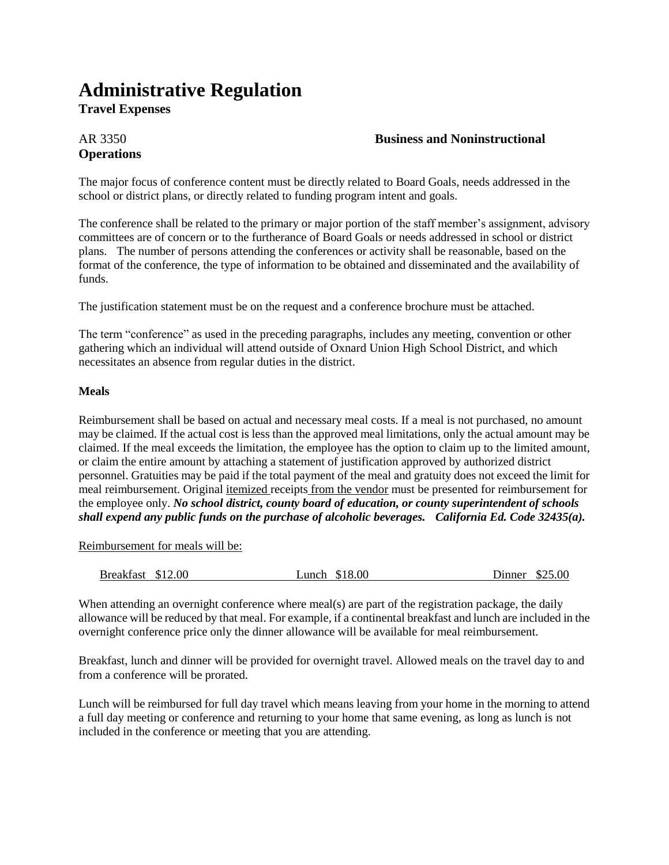## **Administrative Regulation**

**Travel Expenses**

# **Operations**

#### AR 3350 **Business and Noninstructional**

The major focus of conference content must be directly related to Board Goals, needs addressed in the school or district plans, or directly related to funding program intent and goals.

The conference shall be related to the primary or major portion of the staff member's assignment, advisory committees are of concern or to the furtherance of Board Goals or needs addressed in school or district plans. The number of persons attending the conferences or activity shall be reasonable, based on the format of the conference, the type of information to be obtained and disseminated and the availability of funds.

The justification statement must be on the request and a conference brochure must be attached.

The term "conference" as used in the preceding paragraphs, includes any meeting, convention or other gathering which an individual will attend outside of Oxnard Union High School District, and which necessitates an absence from regular duties in the district.

#### **Meals**

Reimbursement shall be based on actual and necessary meal costs. If a meal is not purchased, no amount may be claimed. If the actual cost is less than the approved meal limitations, only the actual amount may be claimed. If the meal exceeds the limitation, the employee has the option to claim up to the limited amount, or claim the entire amount by attaching a statement of justification approved by authorized district personnel. Gratuities may be paid if the total payment of the meal and gratuity does not exceed the limit for meal reimbursement. Original itemized receipts from the vendor must be presented for reimbursement for the employee only. *No school district, county board of education, or county superintendent of schools shall expend any public funds on the purchase of alcoholic beverages. California Ed. Code 32435(a).*

Reimbursement for meals will be:

|  | Breakfast \$12.00 |  |  | Lunch \$18.00 | Dinner | \$25.00 |
|--|-------------------|--|--|---------------|--------|---------|
|--|-------------------|--|--|---------------|--------|---------|

When attending an overnight conference where meal(s) are part of the registration package, the daily allowance will be reduced by that meal. For example, if a continental breakfast and lunch are included in the overnight conference price only the dinner allowance will be available for meal reimbursement.

Breakfast, lunch and dinner will be provided for overnight travel. Allowed meals on the travel day to and from a conference will be prorated.

Lunch will be reimbursed for full day travel which means leaving from your home in the morning to attend a full day meeting or conference and returning to your home that same evening, as long as lunch is not included in the conference or meeting that you are attending.